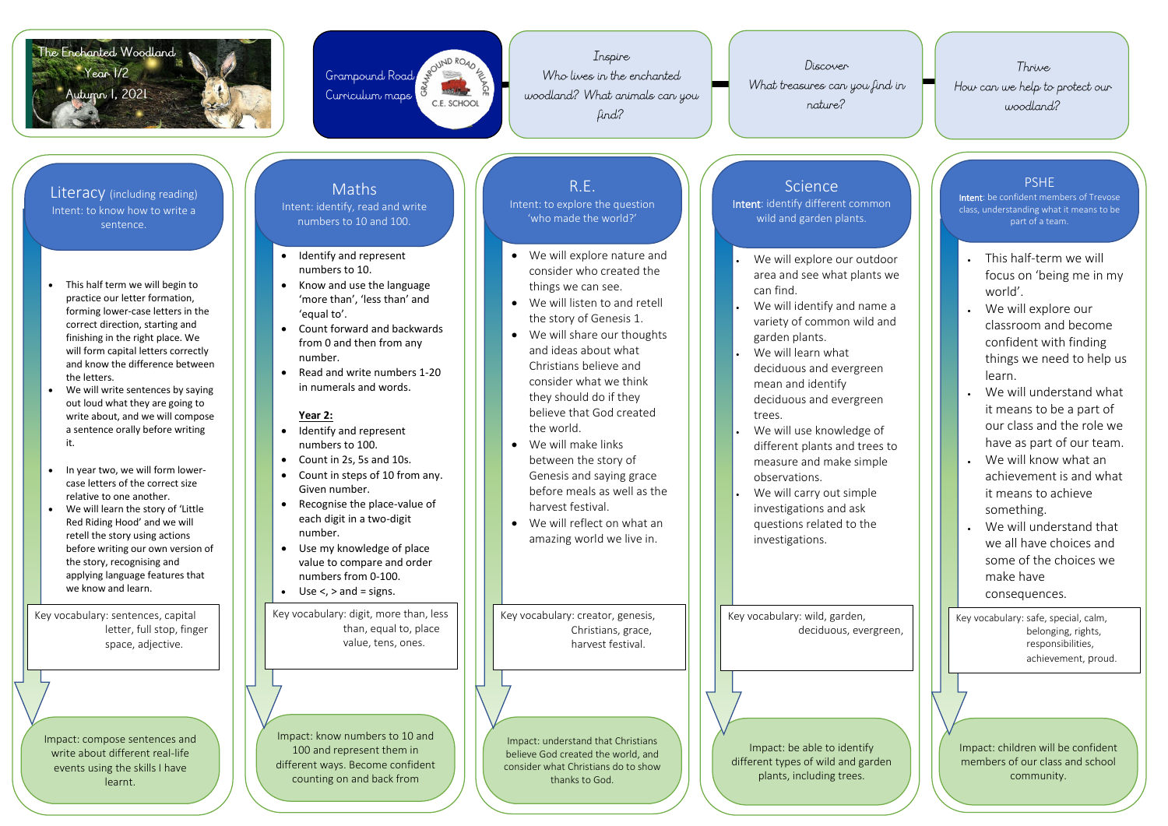



Inspire Who lives in the enchanted woodland? What animals can you find?

Discover

What treasures can you find in nature?

- This half term we will begin to practice our letter formation, forming lower -case letters in the correct direction, starting and finishing in the right place. We will form capital letters correctly and know the difference between the letters.
- We will write sentences by saying out loud what they are going to write about, and we will compose a sentence orally before writing it.
- In year two, we will form lowercase letters of the correct size relative to one another.
- We will learn the story of 'Little Red Riding Hood' and we will retell the story using actions before writing our own version of the story, recognising and applying language features that we know and learn.
- Know and use the language 'more than', 'less than' and 'equal to'.
- Count forward and backwards from 0 and then from any number.
- Read and write numbers 1-20 in numerals and words.

- Identify and represent numbers to 100.
- Count in 2s, 5s and 10s.
- Count in steps of 10 from any. Given number.
- Recognise the place-value of each digit in a two -digit number .
- Use my knowledge of place value to compare and order nu mbers from 0 -100.
- $\bullet$  Use <, > and = signs.

**Year 1** 

 Identify and represent numbers to 10.

#### **Year 2:**

- We will explore nature and consider who created the things we can see.
- We will listen to and retell the story of Genesis 1.
- We will share our thoughts and ideas about what Christians believe and consider what we think they should do if they believe that God created the world.
- We will make links between the story of Genesis and saying grace before meals as well as the harvest festival.
- We will reflect on what an amazing world we live in.
- We will explore our outdoor area and see what plants we can find.
- We will identify and name a variety of common wild and garden plants.
- We will learn what deciduous and evergreen mean and identify deciduous and evergreen trees.
- We will use knowledge of different plants and trees to measure and make simple observations.
- We will carry out simple investigations and ask questions related to the investigations.

Impact: compose sentences and write about different real -life events using the skills I have learnt.

Impact: know numbers to 10 and 100 and represent them in different ways. Become confident counting on and back from

Impact: understand that Christians believe God created the world, and consider what Christians do to show thanks to God.

#### **Science**

Impact: be able to identify different types of wild and garden plants, including trees.

Literacy (including reading) Intent: to know how to write a sentence.

# Maths

Intent: identify, read and write numbers to 10 and 100.



## R.E.

Intent: to explore the question 'who made the world?'

Intent: identify different common wild and garden plants.

Key vocabulary: sentences, capital letter, full stop, finger space, adjective.

Key vocabulary: digit, more than, less than, equal to, place value, tens, ones.

Key vocabulary: creator, genesis, Christians, grace, harvest festival.

Key vocabulary: wild, garden, deciduous, evergreen,